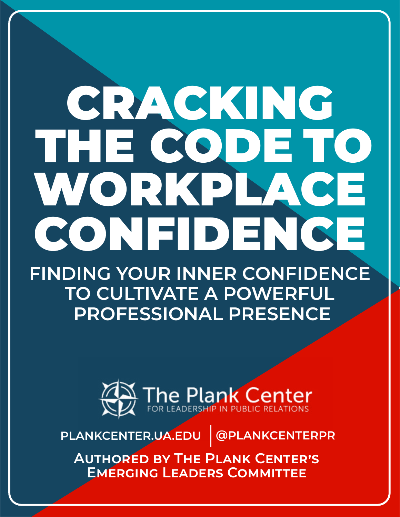# CRACKING THE CODE TO WORKPLACE CONFIDENCE

**FINDING YOUR INNER CONFIDENCE TO CULTIVATE A POWERFUL PROFESSIONAL PRESENCE**



**PLANKCENTER.UA.EDU @PLANKCENTERPR**

**Authored by The Plank Center's Emerging Leaders Committee**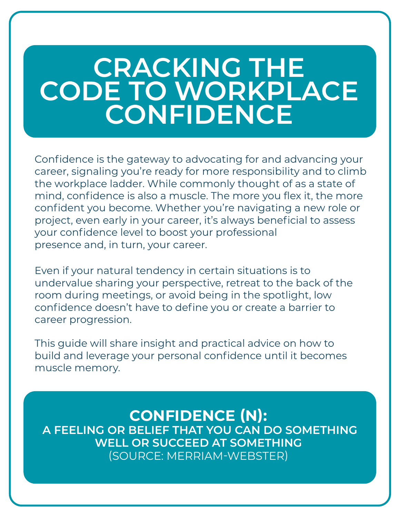# **CRACKING THE CODE TO WORKPLACE CONFIDENCE**

Confidence is the gateway to advocating for and advancing your career, signaling you're ready for more responsibility and to climb the workplace ladder. While commonly thought of as a state of mind, confidence is also a muscle. The more you flex it, the more confident you become. Whether you're navigating a new role or project, even early in your career, it's always beneficial to assess your confidence level to boost your professional presence and, in turn, your career.

Even if your natural tendency in certain situations is to undervalue sharing your perspective, retreat to the back of the room during meetings, or avoid being in the spotlight, low confidence doesn't have to define you or create a barrier to career progression.

This guide will share insight and practical advice on how to build and leverage your personal confidence until it becomes muscle memory.

# **CONFIDENCE (N):**

 **A FEELING OR BELIEF THAT YOU CAN DO SOMETHING WELL OR SUCCEED AT SOMETHING**  (SOURCE: MERRIAM-WEBSTER)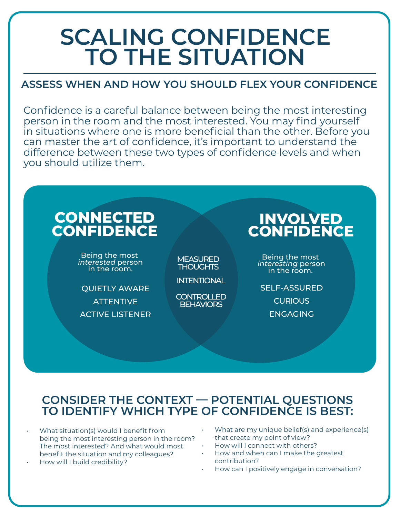# **SCALING CONFIDENCE TO THE SITUATION**

### **ASSESS WHEN AND HOW YOU SHOULD FLEX YOUR CONFIDENCE**

Confidence is a careful balance between being the most interesting person in the room and the most interested. You may find yourself in situations where one is more beneficial than the other. Before you can master the art of confidence, it's important to understand the difference between these two types of confidence levels and when you should utilize them.

#### **CONNECTED CONFIDENCE INVOLVED CONFIDENCE** Being the most *interesting* person in the room. Being the most *interested* person in the room. QUIETLY AWARE **ATTENTIVE** ACTIVE LISTENER SELF-ASSURED **CURIOUS** ENGAGING **INTENTIONAL MEASURED THOUGHTS** CONTROLLED **BEHAVIORS**

### **CONSIDER THE CONTEXT — POTENTIAL QUESTIONS TO IDENTIFY WHICH TYPE OF CONFIDENCE IS BEST:**

- What situation(s) would I benefit from being the most interesting person in the room? The most interested? And what would most benefit the situation and my colleagues?
- How will I build credibility?
- What are my unique belief(s) and experience(s) that create my point of view?
- How will I connect with others?
- How and when can I make the greatest contribution?
- How can I positively engage in conversation?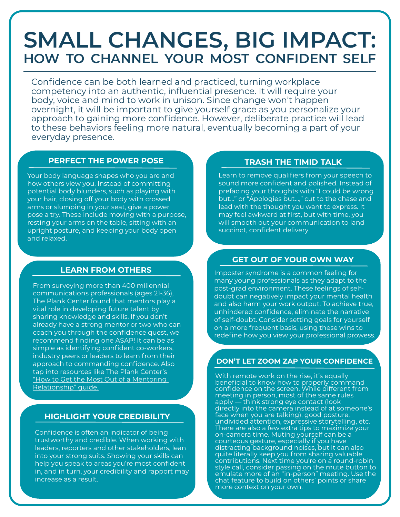# **SMALL CHANGES, BIG IMPACT: HOW TO CHANNEL YOUR MOST CONFIDENT SELF**

Confidence can be both learned and practiced, turning workplace competency into an authentic, influential presence. It will require your body, voice and mind to work in unison. Since change won't happen overnight, it will be important to give yourself grace as you personalize your approach to gaining more confidence. However, deliberate practice will lead to these behaviors feeling more natural, eventually becoming a part of your everyday presence.

#### **PERFECT THE POWER POSE TRASH THE TIMID TALK**

Your body language shapes who you are and how others view you. Instead of committing potential body blunders, such as playing with your hair, closing off your body with crossed arms or slumping in your seat, give a power pose a try. These include moving with a purpose, resting your arms on the table, sitting with an upright posture, and keeping your body open and relaxed.

#### **LEARN FROM OTHERS**

From surveying more than 400 millennial communications professionals (ages 21-36), The Plank Center found that mentors play a vital role in developing future talent by sharing knowledge and skills. If you don't already have a strong mentor or two who can coach you through the confidence quest, we recommend finding one ASAP! It can be as simple as identifying confident co-workers, industry peers or leaders to learn from their approach to commanding confidence. Also tap into resources like The Plank Center's ["How to Get the Most Out of a Mentoring](http://plankcenter.ua.edu/wp-content/uploads/2017/08/The-Plank-Center-Mentorship-Guide.pdf)  [Relationship" guide.](http://plankcenter.ua.edu/wp-content/uploads/2017/08/The-Plank-Center-Mentorship-Guide.pdf)

#### **HIGHLIGHT YOUR CREDIBILITY**

Confidence is often an indicator of being trustworthy and credible. When working with leaders, reporters and other stakeholders, lean into your strong suits. Showing your skills can help you speak to areas you're most confident in, and in turn, your credibility and rapport may increase as a result.

Learn to remove qualifiers from your speech to sound more confident and polished. Instead of prefacing your thoughts with "I could be wrong but…" or "Apologies but…," cut to the chase and lead with the thought you want to express. It may feel awkward at first, but with time, you will smooth out your communication to land succinct, confident delivery.

#### **GET OUT OF YOUR OWN WAY**

Imposter syndrome is a common feeling for many young professionals as they adapt to the post-grad environment. These feelings of selfdoubt can negatively impact your mental health and also harm your work output. To achieve true, unhindered confidence, eliminate the narrative of self-doubt. Consider setting goals for yourself on a more frequent basis, using these wins to redefine how you view your professional prowes.

#### **DON'T LET ZOOM ZAP YOUR CONFIDENCE**

With remote work on the rise, it's equally beneficial to know how to properly command confidence on the screen. While different from meeting in person, most of the same rules apply — think strong eye contact (look directly into the camera instead of at someone's face when you are talking), good posture, undivided attention, expressive storytelling, etc. There are also a few extra tips to maximize your on-camera time. Muting yourself can be a courteous gesture, especially if you have distracting background noises, but it can also quite literally keep you from sharing valuable contributions. Next time you're on a round-robin style call, consider passing on the mute button to emulate more of an "in-person" meeting. Use the chat feature to build on others' points or share more context on your own.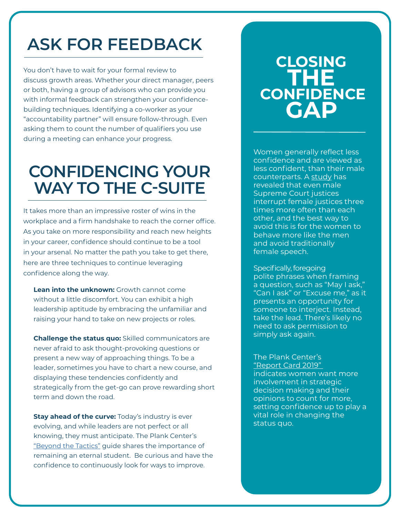# **ASK FOR FEEDBACK**

You don't have to wait for your formal review to discuss growth areas. Whether your direct manager, peers or both, having a group of advisors who can provide you with informal feedback can strengthen your confidencebuilding techniques. Identifying a co-worker as your "accountability partner" will ensure follow-through. Even asking them to count the number of qualifiers you use during a meeting can enhance your progress.

# **CONFIDENCING YOUR WAY TO THE C-SUITE**

It takes more than an impressive roster of wins in the workplace and a firm handshake to reach the corner office. As you take on more responsibility and reach new heights in your career, confidence should continue to be a tool in your arsenal. No matter the path you take to get there, here are three techniques to continue leveraging confidence along the way.

**Lean into the unknown:** Growth cannot come without a little discomfort. You can exhibit a high leadership aptitude by embracing the unfamiliar and raising your hand to take on new projects or roles.

**Challenge the status quo:** Skilled communicators are never afraid to ask thought-provoking questions or present a new way of approaching things. To be a leader, sometimes you have to chart a new course, and displaying these tendencies confidently and strategically from the get-go can prove rewarding short term and down the road.

**Stay ahead of the curve:** Today's industry is ever evolving, and while leaders are not perfect or all knowing, they must anticipate. The Plank Center's ["Beyond the Tactics"](http://plankcenter.ua.edu/wp-content/uploads/2020/07/Plank-Strategic-Thinking.pdf) guide shares the importance of remaining an eternal student. Be curious and have the confidence to continuously look for ways to improve.

# **CLOSING THE CONFIDENCE GAP**

Women generally reflect less confidence and are viewed as less confident, than their male counterparts. A [study](https://hbr.org/2017/04/female-supreme-court-justices-are-interrupted-more-by-male-justices-and-advocates) has revealed that even male Supreme Court justices interrupt female justices three times more often than each other, and the best way to avoid this is for the women to behave more like the men and avoid traditionally female speech.

Specifically, foregoing polite phrases when framing a question, such as "May I ask," "Can I ask" or "Excuse me," as it presents an opportunity for someone to interject. Instead, take the lead. There's likely no need to ask permission to simply ask again.

 The Plank Center's ["Report Card 2019"](http://plankcenter.ua.edu/resources/research/report-card/)  indicates women want more involvement in strategic decision making and their opinions to count for more, setting confidence up to play a vital role in changing the status quo.